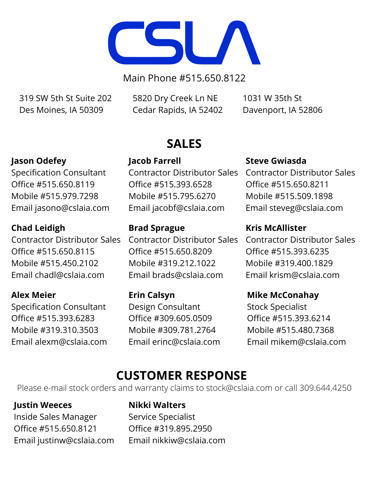

Main Phone #515.650.8122

319 SW 5th St Suite 202 Des Moines, IA 50309

5820 Dry Creek Ln NE Cedar Rapids, IA 52402

1031 W 35th St Davenport, IA 52806

# **Jason Odefey**

Specification Consultant Office #515.650.8119 Mobile #515.979.7298 Email jasono@cslaia.com

### **Chad Leidigh**

Contractor Distributor Sales Office #515.650.8115 Mobile #515.450.2102 Email chadl@cslaia.com

## **Alex Meier**

Specification Consultant Office #515.393.6283 Mobile #319.310.3503 Email alexm@cslaia.com

# **SALES**

**Jacob Farrell** Contractor Distributor Sales Office #515.393.6528 Mobile #515.795.6270 Email jacobf@cslaia.com

#### **Brad Sprague**

Contractor Distributor Sales Office #515.650.8209 Mobile #319.212.1022 Email brads@cslaia.com

**Erin Calsyn** Design Consultant Office #309.605.0509 Mobile #309.781.2764 Email erinc@cslaia.com

#### **Steve Gwiasda**

Contractor Distributor Sales Office #515.650.8211 Mobile #515.509.1898 Email steveg@cslaia.com

#### **Kris McAllister**

Contractor Distributor Sales Office #515.393.6235 Mobile #319.400.1829 Email krism@cslaia.com

### **Mike McConahay**

Stock Specialist Office #515.393.6214 Mobile #515.480.7368 Email mikem@cslaia.com

# **CUSTOMER RESPONSE**

Please e-mail stock orders and warranty claims to [stock@cslaia.com](mailto:stock@cslaia.com) or call 309.644.4250

## **Justin Weeces**

Inside Sales Manager Office #515.650.8121 Email justinw@cslaia.com

#### **Nikki Walters**

Service Specialist Office #319.895.2950 Email [nikkiw@cslaia.com](mailto:nikkiw@cslaia.com)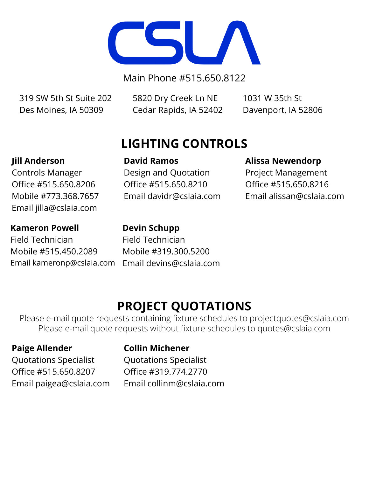

Main Phone #515.650.8122

319 SW 5th St Suite 202 Des Moines, IA 50309

5820 Dry Creek Ln NE Cedar Rapids, IA 52402

1031 W 35th St Davenport, IA 52806

# **LIGHTING CONTROLS**

# **Jill Anderson**

Controls Manager Office #515.650.8206 Mobile #773.368.7657 Email jilla@cslaia.com

# **Kameron Powell**

**Devin Schupp**

**David Ramos**

Design and Quotation Office #515.650.8210

Email davidr@cslaia.com

Field Technician Mobile #515.450.2089 Email kameronp@cslaia.com

Field Technician Mobile #319.300.5200 Email devins@cslaia.com

# **PROJECT QUOTATIONS**

Please e-mail quote requests containing fixture schedules to [projectquotes@cslaia.com](mailto:projectquotes@cslaia.com) Please e-mail quote requests without fixture schedules to [quotes@cslaia.com](mailto:quotes@cslaia.com)

# **Paige Allender**

## **Collin Michener**

Quotations Specialist Office #515.650.8207 Email paigea@cslaia.com

Quotations Specialist Office #319.774.2770 Email collinm@cslaia.com

## **Alissa Newendorp**

Project Management Office #515.650.8216 Email alissan@cslaia.com